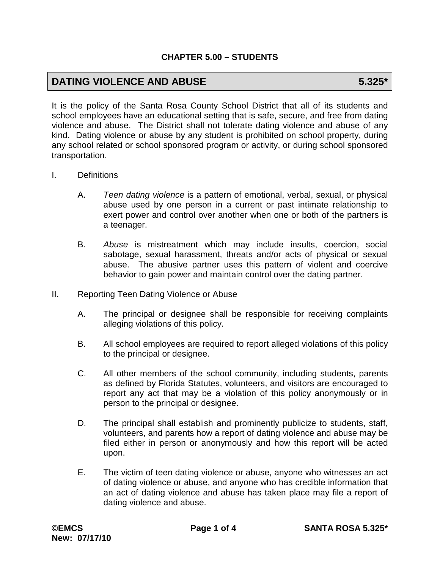# **DATING VIOLENCE AND ABUSE 5.325\***

It is the policy of the Santa Rosa County School District that all of its students and school employees have an educational setting that is safe, secure, and free from dating violence and abuse. The District shall not tolerate dating violence and abuse of any kind. Dating violence or abuse by any student is prohibited on school property, during any school related or school sponsored program or activity, or during school sponsored transportation.

- I. Definitions
	- A. *Teen dating violence* is a pattern of emotional, verbal, sexual, or physical abuse used by one person in a current or past intimate relationship to exert power and control over another when one or both of the partners is a teenager.
	- B. *Abuse* is mistreatment which may include insults, coercion, social sabotage, sexual harassment, threats and/or acts of physical or sexual abuse. The abusive partner uses this pattern of violent and coercive behavior to gain power and maintain control over the dating partner.
- II. Reporting Teen Dating Violence or Abuse
	- A. The principal or designee shall be responsible for receiving complaints alleging violations of this policy.
	- B. All school employees are required to report alleged violations of this policy to the principal or designee.
	- C. All other members of the school community, including students, parents as defined by Florida Statutes, volunteers, and visitors are encouraged to report any act that may be a violation of this policy anonymously or in person to the principal or designee.
	- D. The principal shall establish and prominently publicize to students, staff, volunteers, and parents how a report of dating violence and abuse may be filed either in person or anonymously and how this report will be acted upon.
	- E. The victim of teen dating violence or abuse, anyone who witnesses an act of dating violence or abuse, and anyone who has credible information that an act of dating violence and abuse has taken place may file a report of dating violence and abuse.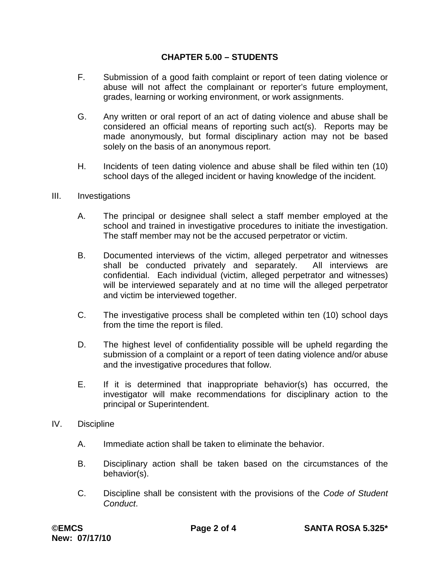- F. Submission of a good faith complaint or report of teen dating violence or abuse will not affect the complainant or reporter's future employment, grades, learning or working environment, or work assignments.
- G. Any written or oral report of an act of dating violence and abuse shall be considered an official means of reporting such act(s). Reports may be made anonymously, but formal disciplinary action may not be based solely on the basis of an anonymous report.
- H. Incidents of teen dating violence and abuse shall be filed within ten (10) school days of the alleged incident or having knowledge of the incident.
- III. Investigations
	- A. The principal or designee shall select a staff member employed at the school and trained in investigative procedures to initiate the investigation. The staff member may not be the accused perpetrator or victim.
	- B. Documented interviews of the victim, alleged perpetrator and witnesses shall be conducted privately and separately. All interviews are confidential. Each individual (victim, alleged perpetrator and witnesses) will be interviewed separately and at no time will the alleged perpetrator and victim be interviewed together.
	- C. The investigative process shall be completed within ten (10) school days from the time the report is filed.
	- D. The highest level of confidentiality possible will be upheld regarding the submission of a complaint or a report of teen dating violence and/or abuse and the investigative procedures that follow.
	- E. If it is determined that inappropriate behavior(s) has occurred, the investigator will make recommendations for disciplinary action to the principal or Superintendent.
- IV. Discipline
	- A. Immediate action shall be taken to eliminate the behavior.
	- B. Disciplinary action shall be taken based on the circumstances of the behavior(s).
	- C. Discipline shall be consistent with the provisions of the *Code of Student Conduct*.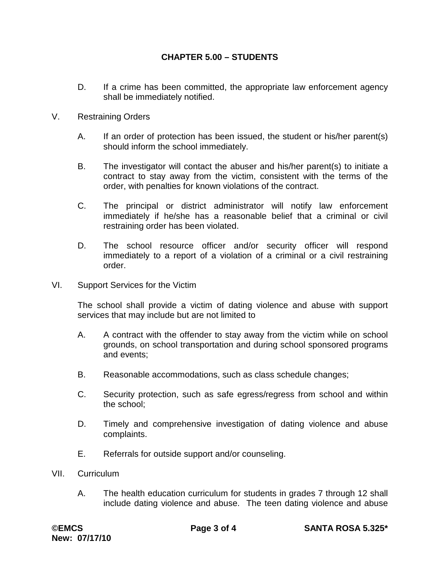- D. If a crime has been committed, the appropriate law enforcement agency shall be immediately notified.
- V. Restraining Orders
	- A. If an order of protection has been issued, the student or his/her parent(s) should inform the school immediately.
	- B. The investigator will contact the abuser and his/her parent(s) to initiate a contract to stay away from the victim, consistent with the terms of the order, with penalties for known violations of the contract.
	- C. The principal or district administrator will notify law enforcement immediately if he/she has a reasonable belief that a criminal or civil restraining order has been violated.
	- D. The school resource officer and/or security officer will respond immediately to a report of a violation of a criminal or a civil restraining order.
- VI. Support Services for the Victim

The school shall provide a victim of dating violence and abuse with support services that may include but are not limited to

- A. A contract with the offender to stay away from the victim while on school grounds, on school transportation and during school sponsored programs and events;
- B. Reasonable accommodations, such as class schedule changes;
- C. Security protection, such as safe egress/regress from school and within the school;
- D. Timely and comprehensive investigation of dating violence and abuse complaints.
- E. Referrals for outside support and/or counseling.
- VII. Curriculum
	- A. The health education curriculum for students in grades 7 through 12 shall include dating violence and abuse. The teen dating violence and abuse